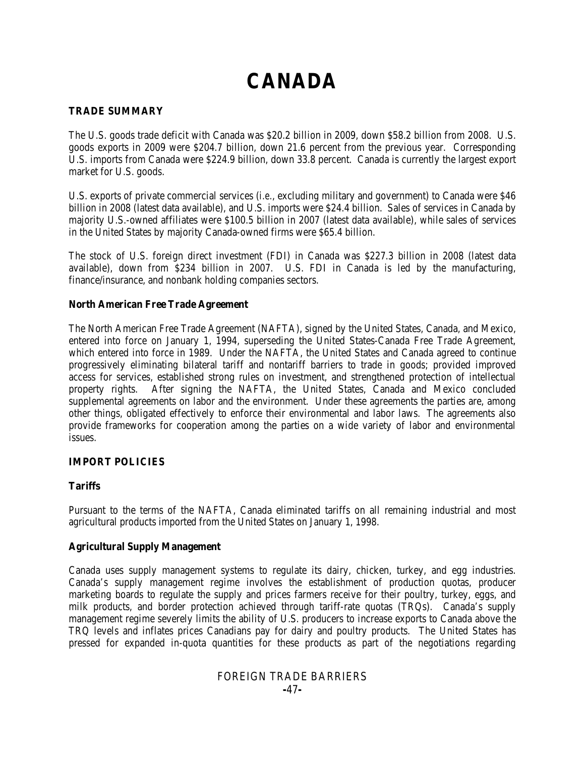# **CANADA**

#### **TRADE SUMMARY**

The U.S. goods trade deficit with Canada was \$20.2 billion in 2009, down \$58.2 billion from 2008. U.S. goods exports in 2009 were \$204.7 billion, down 21.6 percent from the previous year. Corresponding U.S. imports from Canada were \$224.9 billion, down 33.8 percent. Canada is currently the largest export market for U.S. goods.

U.S. exports of private commercial services (*i.e.*, excluding military and government) to Canada were \$46 billion in 2008 (latest data available), and U.S. imports were \$24.4 billion. Sales of services in Canada by majority U.S.-owned affiliates were \$100.5 billion in 2007 (latest data available), while sales of services in the United States by majority Canada-owned firms were \$65.4 billion.

The stock of U.S. foreign direct investment (FDI) in Canada was \$227.3 billion in 2008 (latest data available), down from \$234 billion in 2007. U.S. FDI in Canada is led by the manufacturing, finance/insurance, and nonbank holding companies sectors.

#### **North American Free Trade Agreement**

The North American Free Trade Agreement (NAFTA), signed by the United States, Canada, and Mexico, entered into force on January 1, 1994, superseding the United States-Canada Free Trade Agreement, which entered into force in 1989. Under the NAFTA, the United States and Canada agreed to continue progressively eliminating bilateral tariff and nontariff barriers to trade in goods; provided improved access for services, established strong rules on investment, and strengthened protection of intellectual property rights. After signing the NAFTA, the United States, Canada and Mexico concluded supplemental agreements on labor and the environment. Under these agreements the parties are, among other things, obligated effectively to enforce their environmental and labor laws. The agreements also provide frameworks for cooperation among the parties on a wide variety of labor and environmental issues.

#### **IMPORT POLICIES**

#### **Tariffs**

Pursuant to the terms of the NAFTA, Canada eliminated tariffs on all remaining industrial and most agricultural products imported from the United States on January 1, 1998.

#### **Agricultural Supply Management**

Canada uses supply management systems to regulate its dairy, chicken, turkey, and egg industries. Canada's supply management regime involves the establishment of production quotas, producer marketing boards to regulate the supply and prices farmers receive for their poultry, turkey, eggs, and milk products, and border protection achieved through tariff-rate quotas (TRQs). Canada's supply management regime severely limits the ability of U.S. producers to increase exports to Canada above the TRQ levels and inflates prices Canadians pay for dairy and poultry products. The United States has pressed for expanded in-quota quantities for these products as part of the negotiations regarding

# FOREIGN TRADE BARRIERS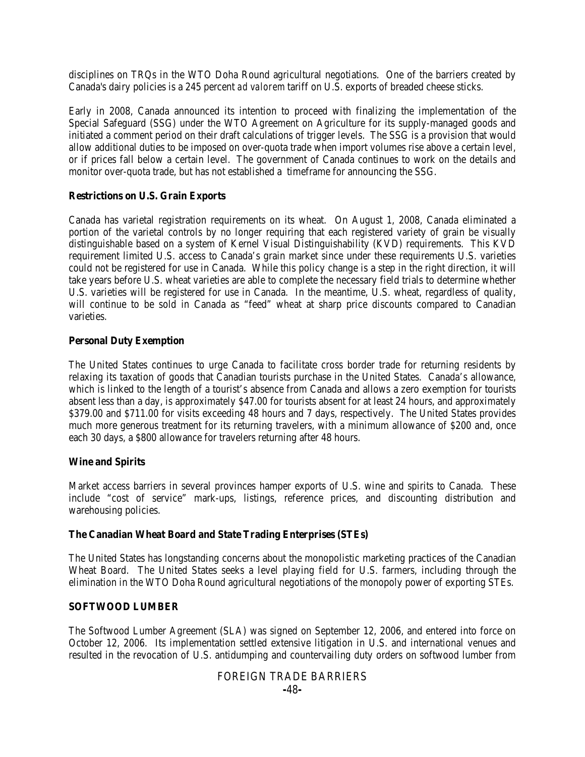disciplines on TRQs in the WTO Doha Round agricultural negotiations. One of the barriers created by Canada's dairy policies is a 245 percent *ad valorem* tariff on U.S. exports of breaded cheese sticks.

Early in 2008, Canada announced its intention to proceed with finalizing the implementation of the Special Safeguard (SSG) under the WTO Agreement on Agriculture for its supply-managed goods and initiated a comment period on their draft calculations of trigger levels. The SSG is a provision that would allow additional duties to be imposed on over-quota trade when import volumes rise above a certain level, or if prices fall below a certain level. The government of Canada continues to work on the details and monitor over-quota trade, but has not established a timeframe for announcing the SSG.

#### **Restrictions on U.S. Grain Exports**

Canada has varietal registration requirements on its wheat. On August 1, 2008, Canada eliminated a portion of the varietal controls by no longer requiring that each registered variety of grain be visually distinguishable based on a system of Kernel Visual Distinguishability (KVD) requirements. This KVD requirement limited U.S. access to Canada's grain market since under these requirements U.S. varieties could not be registered for use in Canada. While this policy change is a step in the right direction, it will take years before U.S. wheat varieties are able to complete the necessary field trials to determine whether U.S. varieties will be registered for use in Canada. In the meantime, U.S. wheat, regardless of quality, will continue to be sold in Canada as "feed" wheat at sharp price discounts compared to Canadian varieties.

#### **Personal Duty Exemption**

The United States continues to urge Canada to facilitate cross border trade for returning residents by relaxing its taxation of goods that Canadian tourists purchase in the United States. Canada's allowance, which is linked to the length of a tourist's absence from Canada and allows a zero exemption for tourists absent less than a day, is approximately \$47.00 for tourists absent for at least 24 hours, and approximately \$379.00 and \$711.00 for visits exceeding 48 hours and 7 days, respectively. The United States provides much more generous treatment for its returning travelers, with a minimum allowance of \$200 and, once each 30 days, a \$800 allowance for travelers returning after 48 hours.

#### **Wine and Spirits**

Market access barriers in several provinces hamper exports of U.S. wine and spirits to Canada. These include "cost of service" mark-ups, listings, reference prices, and discounting distribution and warehousing policies.

#### **The Canadian Wheat Board and State Trading Enterprises (STEs)**

The United States has longstanding concerns about the monopolistic marketing practices of the Canadian Wheat Board. The United States seeks a level playing field for U.S. farmers, including through the elimination in the WTO Doha Round agricultural negotiations of the monopoly power of exporting STEs.

#### **SOFTWOOD LUMBER**

The Softwood Lumber Agreement (SLA) was signed on September 12, 2006, and entered into force on October 12, 2006. Its implementation settled extensive litigation in U.S. and international venues and resulted in the revocation of U.S. antidumping and countervailing duty orders on softwood lumber from

# FOREIGN TRADE BARRIERS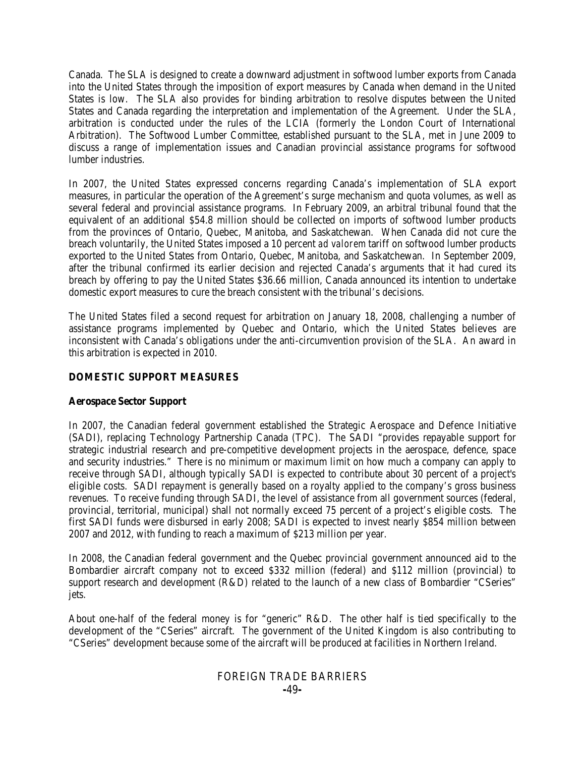Canada. The SLA is designed to create a downward adjustment in softwood lumber exports from Canada into the United States through the imposition of export measures by Canada when demand in the United States is low. The SLA also provides for binding arbitration to resolve disputes between the United States and Canada regarding the interpretation and implementation of the Agreement. Under the SLA, arbitration is conducted under the rules of the LCIA (formerly the London Court of International Arbitration). The Softwood Lumber Committee, established pursuant to the SLA, met in June 2009 to discuss a range of implementation issues and Canadian provincial assistance programs for softwood lumber industries.

In 2007, the United States expressed concerns regarding Canada's implementation of SLA export measures, in particular the operation of the Agreement's surge mechanism and quota volumes, as well as several federal and provincial assistance programs. In February 2009, an arbitral tribunal found that the equivalent of an additional \$54.8 million should be collected on imports of softwood lumber products from the provinces of Ontario, Quebec, Manitoba, and Saskatchewan. When Canada did not cure the breach voluntarily, the United States imposed a 10 percent *ad valorem* tariff on softwood lumber products exported to the United States from Ontario, Quebec, Manitoba, and Saskatchewan. In September 2009, after the tribunal confirmed its earlier decision and rejected Canada's arguments that it had cured its breach by offering to pay the United States \$36.66 million, Canada announced its intention to undertake domestic export measures to cure the breach consistent with the tribunal's decisions.

The United States filed a second request for arbitration on January 18, 2008, challenging a number of assistance programs implemented by Quebec and Ontario, which the United States believes are inconsistent with Canada's obligations under the anti-circumvention provision of the SLA. An award in this arbitration is expected in 2010.

#### **DOMESTIC SUPPORT MEASURES**

#### **Aerospace Sector Support**

In 2007, the Canadian federal government established the Strategic Aerospace and Defence Initiative (SADI), replacing Technology Partnership Canada (TPC). The SADI "provides repayable support for strategic industrial research and pre-competitive development projects in the aerospace, defence, space and security industries." There is no minimum or maximum limit on how much a company can apply to receive through SADI, although typically SADI is expected to contribute about 30 percent of a project's eligible costs. SADI repayment is generally based on a royalty applied to the company's gross business revenues. To receive funding through SADI, the level of assistance from all government sources (federal, provincial, territorial, municipal) shall not normally exceed 75 percent of a project's eligible costs. The first SADI funds were disbursed in early 2008; SADI is expected to invest nearly \$854 million between 2007 and 2012, with funding to reach a maximum of \$213 million per year.

In 2008, the Canadian federal government and the Quebec provincial government announced aid to the Bombardier aircraft company not to exceed \$332 million (federal) and \$112 million (provincial) to support research and development (R&D) related to the launch of a new class of Bombardier "CSeries" jets.

About one-half of the federal money is for "generic" R&D. The other half is tied specifically to the development of the "CSeries" aircraft. The government of the United Kingdom is also contributing to "CSeries" development because some of the aircraft will be produced at facilities in Northern Ireland.

#### FOREIGN TRADE BARRIERS **-**49**-**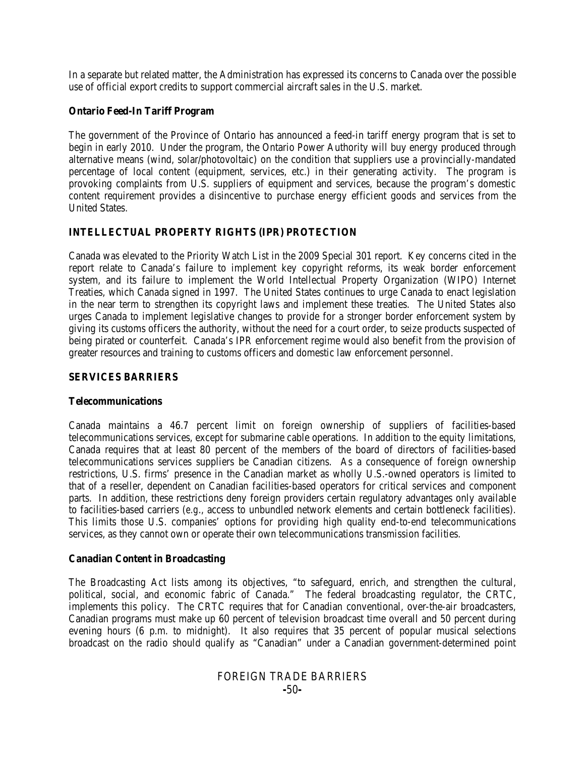In a separate but related matter, the Administration has expressed its concerns to Canada over the possible use of official export credits to support commercial aircraft sales in the U.S. market.

#### **Ontario Feed-In Tariff Program**

The government of the Province of Ontario has announced a feed-in tariff energy program that is set to begin in early 2010. Under the program, the Ontario Power Authority will buy energy produced through alternative means (wind, solar/photovoltaic) on the condition that suppliers use a provincially-mandated percentage of local content (equipment, services, etc.) in their generating activity. The program is provoking complaints from U.S. suppliers of equipment and services, because the program's domestic content requirement provides a disincentive to purchase energy efficient goods and services from the United States.

#### **INTELLECTUAL PROPERTY RIGHTS (IPR) PROTECTION**

Canada was elevated to the Priority Watch List in the 2009 Special 301 report. Key concerns cited in the report relate to Canada's failure to implement key copyright reforms, its weak border enforcement system, and its failure to implement the World Intellectual Property Organization (WIPO) Internet Treaties, which Canada signed in 1997. The United States continues to urge Canada to enact legislation in the near term to strengthen its copyright laws and implement these treaties. The United States also urges Canada to implement legislative changes to provide for a stronger border enforcement system by giving its customs officers the authority, without the need for a court order, to seize products suspected of being pirated or counterfeit. Canada's IPR enforcement regime would also benefit from the provision of greater resources and training to customs officers and domestic law enforcement personnel.

#### **SERVICES BARRIERS**

#### **Telecommunications**

Canada maintains a 46.7 percent limit on foreign ownership of suppliers of facilities-based telecommunications services, except for submarine cable operations. In addition to the equity limitations, Canada requires that at least 80 percent of the members of the board of directors of facilities-based telecommunications services suppliers be Canadian citizens. As a consequence of foreign ownership restrictions, U.S. firms' presence in the Canadian market as wholly U.S.-owned operators is limited to that of a reseller, dependent on Canadian facilities-based operators for critical services and component parts. In addition, these restrictions deny foreign providers certain regulatory advantages only available to facilities-based carriers (*e.g*., access to unbundled network elements and certain bottleneck facilities). This limits those U.S. companies' options for providing high quality end-to-end telecommunications services, as they cannot own or operate their own telecommunications transmission facilities.

#### **Canadian Content in Broadcasting**

The Broadcasting Act lists among its objectives, "to safeguard, enrich, and strengthen the cultural, political, social, and economic fabric of Canada." The federal broadcasting regulator, the CRTC, implements this policy. The CRTC requires that for Canadian conventional, over-the-air broadcasters, Canadian programs must make up 60 percent of television broadcast time overall and 50 percent during evening hours (6 p.m. to midnight). It also requires that 35 percent of popular musical selections broadcast on the radio should qualify as "Canadian" under a Canadian government-determined point

# FOREIGN TRADE BARRIERS